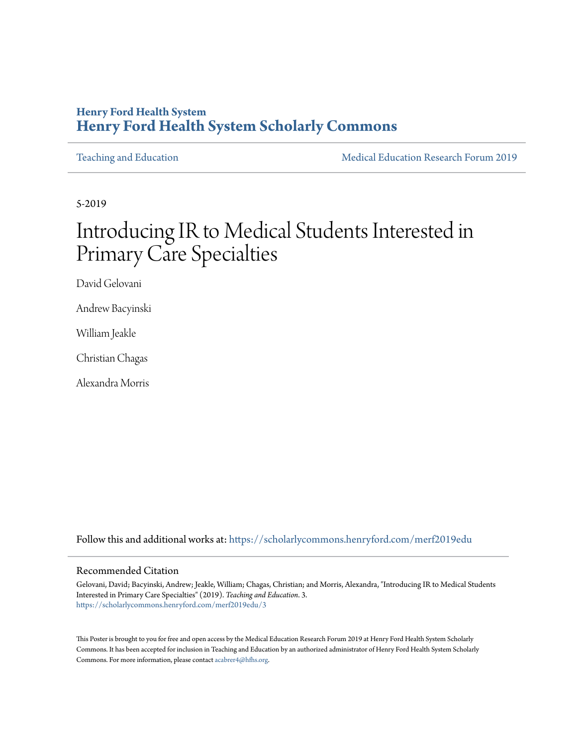#### **Henry Ford Health System [Henry Ford Health System Scholarly Commons](https://scholarlycommons.henryford.com?utm_source=scholarlycommons.henryford.com%2Fmerf2019edu%2F3&utm_medium=PDF&utm_campaign=PDFCoverPages)**

[Teaching and Education](https://scholarlycommons.henryford.com/merf2019edu?utm_source=scholarlycommons.henryford.com%2Fmerf2019edu%2F3&utm_medium=PDF&utm_campaign=PDFCoverPages) Teaching and Education Communication Research Forum 2019

5-2019

### Introducing IR to Medical Students Interested in Primary Care Specialties

David Gelovani

Andrew Bacyinski

William Jeakle

Christian Chagas

Alexandra Morris

Follow this and additional works at: [https://scholarlycommons.henryford.com/merf2019edu](https://scholarlycommons.henryford.com/merf2019edu?utm_source=scholarlycommons.henryford.com%2Fmerf2019edu%2F3&utm_medium=PDF&utm_campaign=PDFCoverPages)

#### Recommended Citation

Gelovani, David; Bacyinski, Andrew; Jeakle, William; Chagas, Christian; and Morris, Alexandra, "Introducing IR to Medical Students Interested in Primary Care Specialties" (2019). *Teaching and Education*. 3. [https://scholarlycommons.henryford.com/merf2019edu/3](https://scholarlycommons.henryford.com/merf2019edu/3?utm_source=scholarlycommons.henryford.com%2Fmerf2019edu%2F3&utm_medium=PDF&utm_campaign=PDFCoverPages)

This Poster is brought to you for free and open access by the Medical Education Research Forum 2019 at Henry Ford Health System Scholarly Commons. It has been accepted for inclusion in Teaching and Education by an authorized administrator of Henry Ford Health System Scholarly Commons. For more information, please contact [acabrer4@hfhs.org.](mailto:acabrer4@hfhs.org)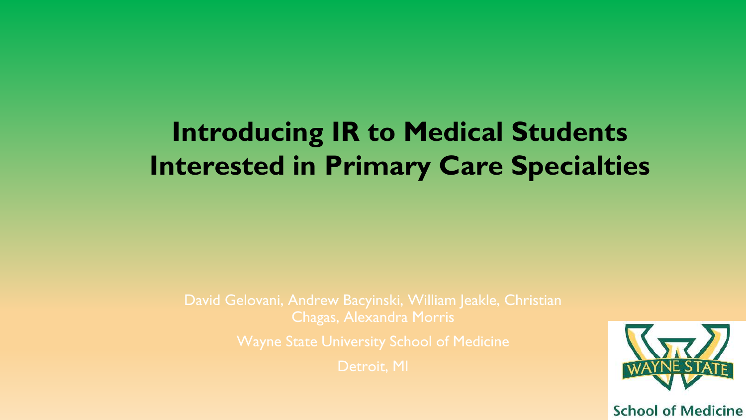# **Introducing IR to Medical Students Interested in Primary Care Specialties**

David Gelovani, Andrew Bacyinski, William Jeakle, Christian Chagas, Alexandra Morris

Detroit, MI

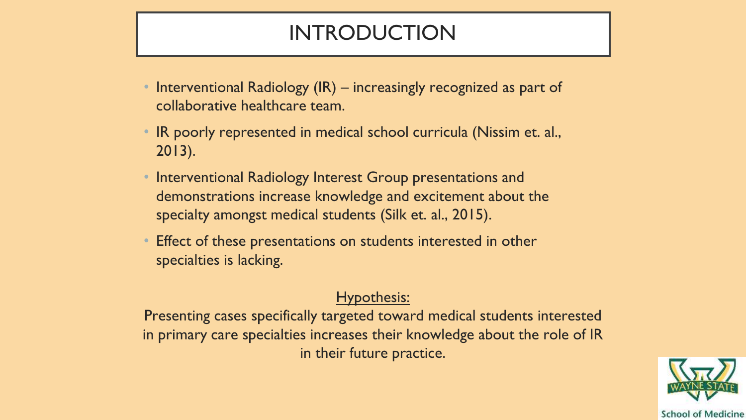### INTRODUCTION

- Interventional Radiology (IR) increasingly recognized as part of collaborative healthcare team.
- IR poorly represented in medical school curricula (Nissim et. al., 2013).
- Interventional Radiology Interest Group presentations and demonstrations increase knowledge and excitement about the specialty amongst medical students (Silk et. al., 2015).
- Effect of these presentations on students interested in other specialties is lacking.

### Hypothesis:

Presenting cases specifically targeted toward medical students interested in primary care specialties increases their knowledge about the role of IR in their future practice.

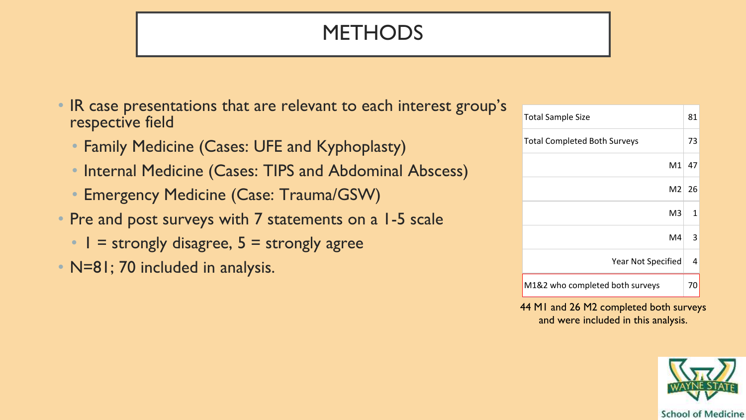## **METHODS**

- IR case presentations that are relevant to each interest group's respective field
	- Family Medicine (Cases: UFE and Kyphoplasty)
	- Internal Medicine (Cases: TIPS and Abdominal Abscess)
	- Emergency Medicine (Case: Trauma/GSW)
- Pre and post surveys with 7 statements on a 1-5 scale
	- $\cdot$  | = strongly disagree,  $5 =$  strongly agree
- N=81; 70 included in analysis.

| <b>Total Sample Size</b>            |    |  |
|-------------------------------------|----|--|
| <b>Total Completed Both Surveys</b> |    |  |
| M1                                  | 47 |  |
| M2                                  | 26 |  |
| M3                                  | 1  |  |
| M4                                  | 3  |  |
| Year Not Specified                  | 4  |  |
| M1&2 who completed both surveys     |    |  |

44 M1 and 26 M2 completed both surveys and were included in this analysis.

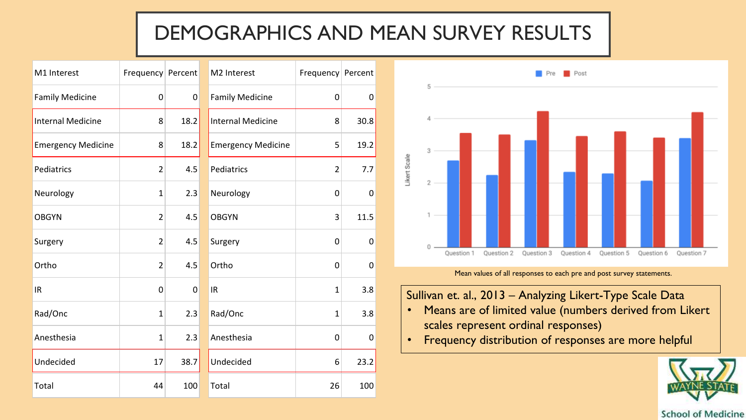### DEMOGRAPHICS AND MEAN SURVEY RESULTS

| M1 Interest               | Frequency Percent |             | M2 Interest               | Frequency Percent |      |  |
|---------------------------|-------------------|-------------|---------------------------|-------------------|------|--|
| <b>Family Medicine</b>    | $\mathbf 0$       | $\pmb{0}$   | <b>Family Medicine</b>    | 0                 | 0    |  |
| <b>Internal Medicine</b>  | 8                 | 18.2        | <b>Internal Medicine</b>  | 8                 | 30.8 |  |
| <b>Emergency Medicine</b> | 8                 | 18.2        | <b>Emergency Medicine</b> | 5                 | 19.2 |  |
| Pediatrics                | $\overline{2}$    | 4.5         | Pediatrics                | $\overline{2}$    | 7.7  |  |
| Neurology                 | 1                 | 2.3         | Neurology                 | 0                 | 0    |  |
| <b>OBGYN</b>              | $\overline{2}$    | 4.5         | <b>OBGYN</b>              | 3                 | 11.5 |  |
| Surgery                   | $\overline{2}$    | 4.5         | Surgery                   | $\mathbf 0$       | 0    |  |
| Ortho                     | $\overline{2}$    | 4.5         | Ortho                     | $\mathbf 0$       | 0    |  |
| IR                        | $\overline{0}$    | $\mathbf 0$ | IR                        | $\mathbf{1}$      | 3.8  |  |
| Rad/Onc                   | $\mathbf{1}$      | 2.3         | Rad/Onc                   | 1                 | 3.8  |  |
| Anesthesia                | 1                 | 2.3         | Anesthesia                | $\mathbf 0$       | 0    |  |
| Undecided                 | 17                | 38.7        | Undecided                 | 6                 | 23.2 |  |
| Total                     | 44                | 100         | Total                     | 26                | 100  |  |



Mean values of all responses to each pre and post survey statements.

Sullivan et. al., 2013 – Analyzing Likert-Type Scale Data

- Means are of limited value (numbers derived from Likert scales represent ordinal responses)
- Frequency distribution of responses are more helpful

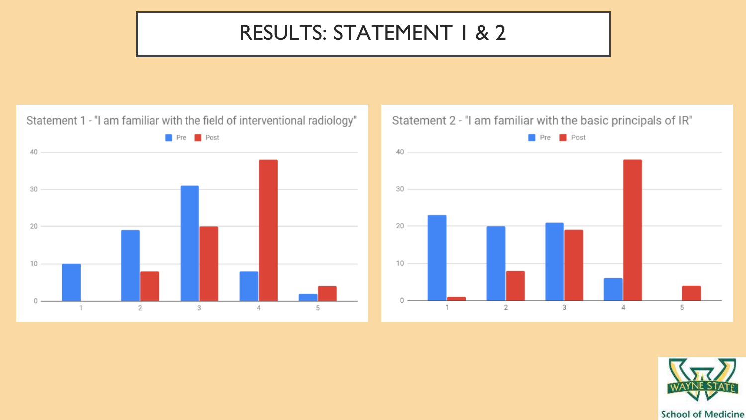### RESULTS: STATEMENT 1 & 2

Statement 1 - "I am familiar with the field of interventional radiology" Pre **Pre** Post 40 30 20 10  $\mathbf 0$  $\overline{2}$  $3$  $\overline{4}$ 5  $\overline{1}$ 

#### Statement 2 - "I am familiar with the basic principals of IR"



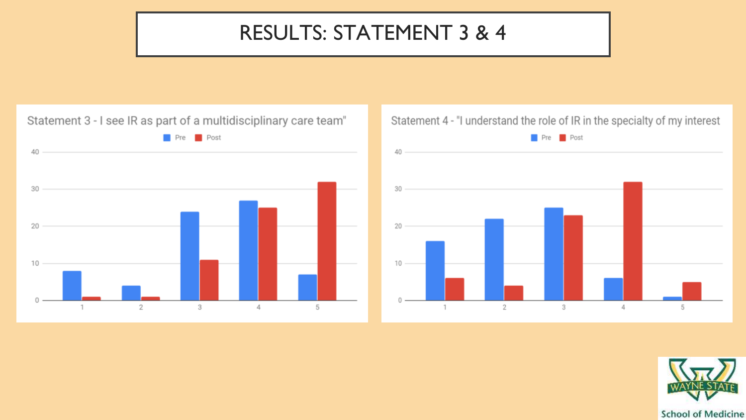### RESULTS: STATEMENT 3 & 4

Statement 3 - I see IR as part of a multidisciplinary care team" **Post** Pre 40 30 20 10  $\cap$  $\overline{2}$ 3  $\overline{4}$ 5  $\mathbf{1}$ 

#### Statement 4 - "I understand the role of IR in the specialty of my interest



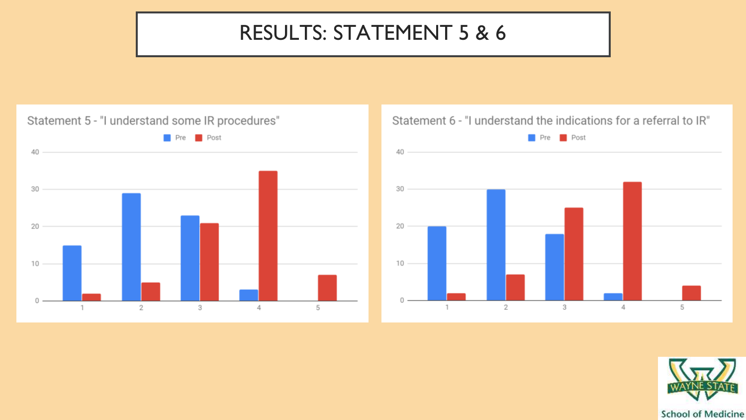### RESULTS: STATEMENT 5 & 6



#### Statement 6 - "I understand the indications for a referral to IR"



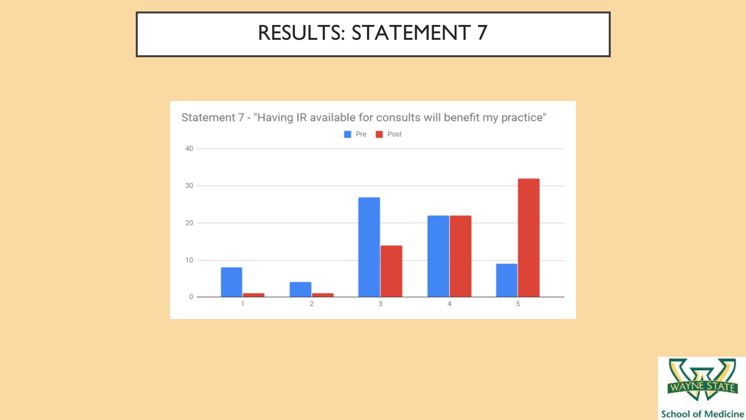### RESULTS: STATEMENT 7





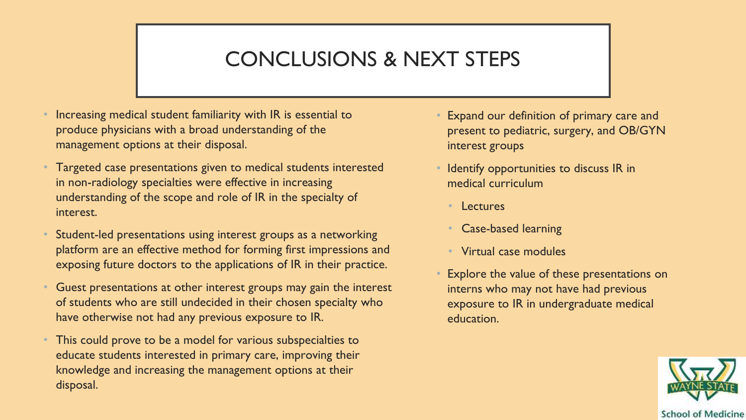### CONCLUSIONS & NEXT STEPS

- Increasing medical student familiarity with IR is essential to produce physicians with a broad understanding of the management options at their disposal.
- Targeted case presentations given to medical students interested in non-radiology specialties were effective in increasing understanding of the scope and role of IR in the specialty of interest.
- Student-led presentations using interest groups as a networking platform are an effective method for forming first impressions and exposing future doctors to the applications of IR in their practice.
- Guest presentations at other interest groups may gain the interest of students who are still undecided in their chosen specialty who have otherwise not had any previous exposure to IR.
- This could prove to be a model for various subspecialties to educate students interested in primary care, improving their knowledge and increasing the management options at their disposal.
- Expand our definition of primary care and present to pediatric, surgery, and OB/GYN interest groups
- Identify opportunities to discuss IR in medical curriculum
	- Lectures
	- Case-based learning
	- Virtual case modules
- Explore the value of these presentations on interns who may not have had previous exposure to IR in undergraduate medical education.